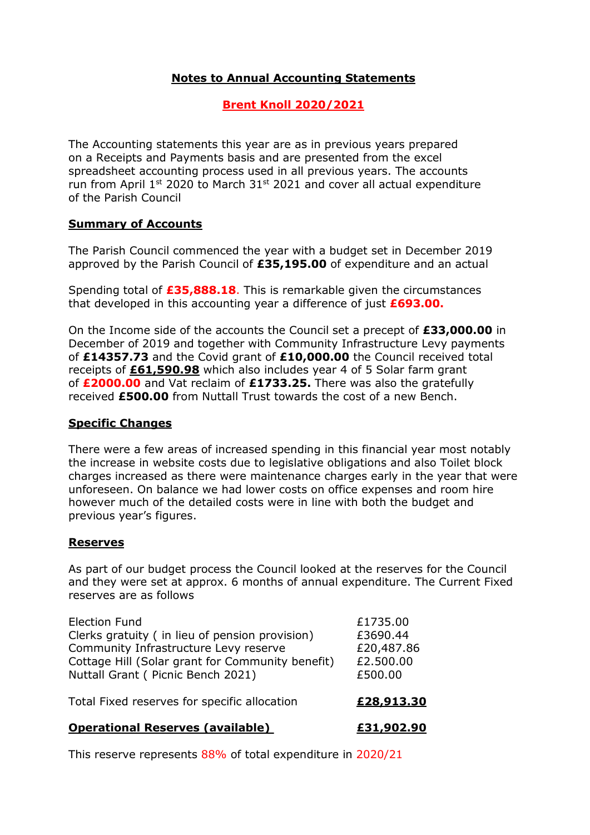# Notes to Annual Accounting Statements

# Brent Knoll 2020/2021

The Accounting statements this year are as in previous years prepared on a Receipts and Payments basis and are presented from the excel spreadsheet accounting process used in all previous years. The accounts run from April  $1^{st}$  2020 to March  $31^{st}$  2021 and cover all actual expenditure of the Parish Council

### Summary of Accounts

The Parish Council commenced the year with a budget set in December 2019 approved by the Parish Council of £35,195.00 of expenditure and an actual

Spending total of **£35,888.18**. This is remarkable given the circumstances that developed in this accounting year a difference of just  $£693.00.$ 

On the Income side of the accounts the Council set a precept of £33,000.00 in December of 2019 and together with Community Infrastructure Levy payments of £14357.73 and the Covid grant of £10,000.00 the Council received total receipts of £61,590.98 which also includes year 4 of 5 Solar farm grant of £2000.00 and Vat reclaim of £1733.25. There was also the gratefully received £500.00 from Nuttall Trust towards the cost of a new Bench.

#### Specific Changes

There were a few areas of increased spending in this financial year most notably the increase in website costs due to legislative obligations and also Toilet block charges increased as there were maintenance charges early in the year that were unforeseen. On balance we had lower costs on office expenses and room hire however much of the detailed costs were in line with both the budget and previous year's figures.

### Reserves

As part of our budget process the Council looked at the reserves for the Council and they were set at approx. 6 months of annual expenditure. The Current Fixed reserves are as follows

| <b>Operational Reserves (available)</b>                                                                                                                                                                   | £31,902.90                                                 |
|-----------------------------------------------------------------------------------------------------------------------------------------------------------------------------------------------------------|------------------------------------------------------------|
| Total Fixed reserves for specific allocation                                                                                                                                                              | £28,913.30                                                 |
| <b>Election Fund</b><br>Clerks gratuity (in lieu of pension provision)<br>Community Infrastructure Levy reserve<br>Cottage Hill (Solar grant for Community benefit)<br>Nuttall Grant ( Picnic Bench 2021) | £1735.00<br>£3690.44<br>£20,487.86<br>£2.500.00<br>£500.00 |
|                                                                                                                                                                                                           |                                                            |

This reserve represents 88% of total expenditure in 2020/21